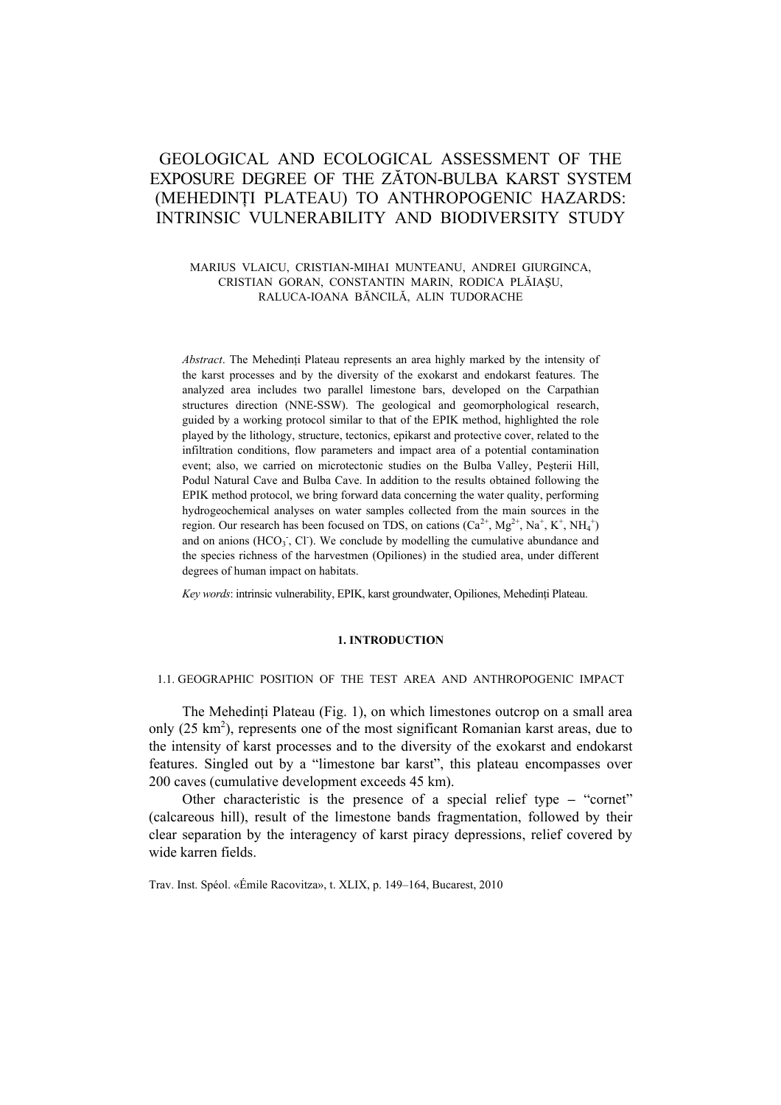# GEOLOGICAL AND ECOLOGICAL ASSESSMENT OF THE EXPOSURE DEGREE OF THE ZĂTON-BULBA KARST SYSTEM (MEHEDINŢI PLATEAU) TO ANTHROPOGENIC HAZARDS: INTRINSIC VULNERABILITY AND BIODIVERSITY STUDY

## MARIUS VLAICU, CRISTIAN-MIHAI MUNTEANU, ANDREI GIURGINCA, CRISTIAN GORAN, CONSTANTIN MARIN, RODICA PLĂIAŞU, RALUCA-IOANA BĂNCILĂ, ALIN TUDORACHE

*Abstract*. The Mehedinţi Plateau represents an area highly marked by the intensity of the karst processes and by the diversity of the exokarst and endokarst features. The analyzed area includes two parallel limestone bars, developed on the Carpathian structures direction (NNE-SSW). The geological and geomorphological research, guided by a working protocol similar to that of the EPIK method, highlighted the role played by the lithology, structure, tectonics, epikarst and protective cover, related to the infiltration conditions, flow parameters and impact area of a potential contamination event; also, we carried on microtectonic studies on the Bulba Valley, Peşterii Hill, Podul Natural Cave and Bulba Cave. In addition to the results obtained following the EPIK method protocol, we bring forward data concerning the water quality, performing hydrogeochemical analyses on water samples collected from the main sources in the region. Our research has been focused on TDS, on cations  $(Ca^{2+}, Mg^{2+}, Na^+, K^+, NH_4^+)$ and on anions  $(HCO<sub>3</sub>$ , Cl). We conclude by modelling the cumulative abundance and the species richness of the harvestmen (Opiliones) in the studied area, under different degrees of human impact on habitats.

*Key words*: intrinsic vulnerability, EPIK, karst groundwater, Opiliones, Mehedinţi Plateau.

#### **1. INTRODUCTION**

#### 1.1. GEOGRAPHIC POSITION OF THE TEST AREA AND ANTHROPOGENIC IMPACT

The Mehedinți Plateau (Fig. 1), on which limestones outcrop on a small area only  $(25 \text{ km}^2)$ , represents one of the most significant Romanian karst areas, due to the intensity of karst processes and to the diversity of the exokarst and endokarst features. Singled out by a "limestone bar karst", this plateau encompasses over 200 caves (cumulative development exceeds 45 km).

Other characteristic is the presence of a special relief type **–** "cornet" (calcareous hill), result of the limestone bands fragmentation, followed by their clear separation by the interagency of karst piracy depressions, relief covered by wide karren fields.

Trav. Inst. Spéol. «Émile Racovitza», t. XLIX, p. 149–164, Bucarest, 2010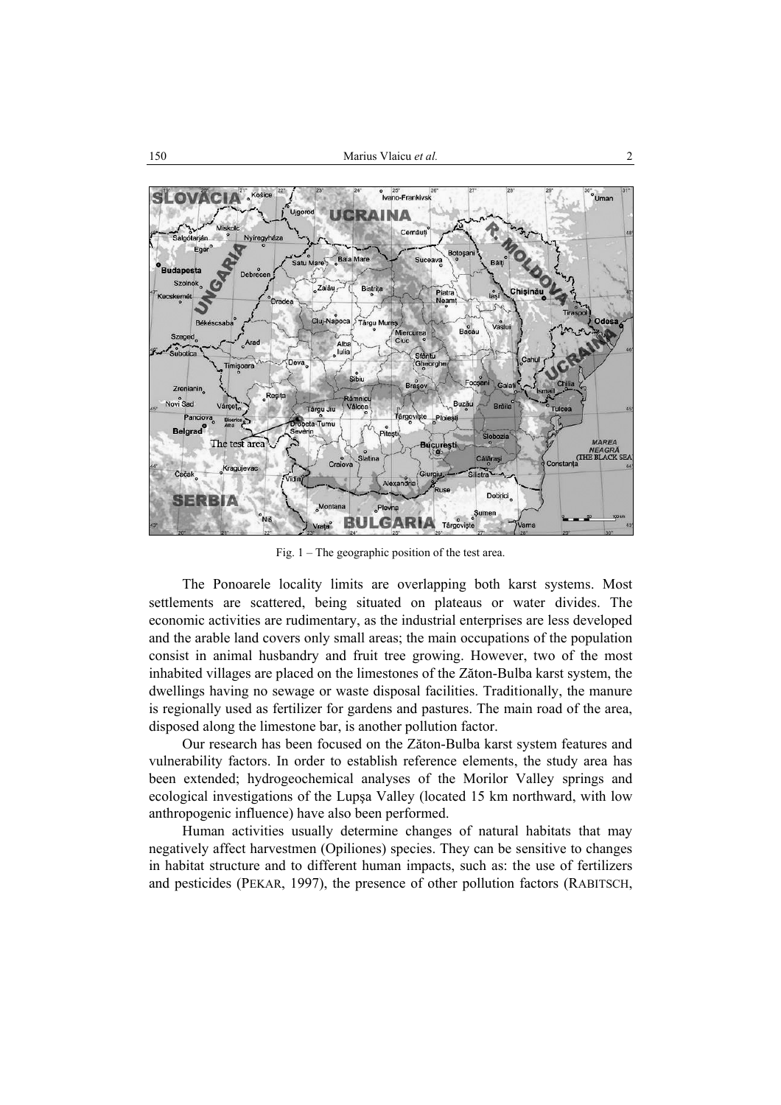

Fig. 1 – The geographic position of the test area.

The Ponoarele locality limits are overlapping both karst systems. Most settlements are scattered, being situated on plateaus or water divides. The economic activities are rudimentary, as the industrial enterprises are less developed and the arable land covers only small areas; the main occupations of the population consist in animal husbandry and fruit tree growing. However, two of the most inhabited villages are placed on the limestones of the Zăton-Bulba karst system, the dwellings having no sewage or waste disposal facilities. Traditionally, the manure is regionally used as fertilizer for gardens and pastures. The main road of the area, disposed along the limestone bar, is another pollution factor.

Our research has been focused on the Zăton-Bulba karst system features and vulnerability factors. In order to establish reference elements, the study area has been extended; hydrogeochemical analyses of the Morilor Valley springs and ecological investigations of the Lupşa Valley (located 15 km northward, with low anthropogenic influence) have also been performed.

Human activities usually determine changes of natural habitats that may negatively affect harvestmen (Opiliones) species. They can be sensitive to changes in habitat structure and to different human impacts, such as: the use of fertilizers and pesticides (PEKAR, 1997), the presence of other pollution factors (RABITSCH,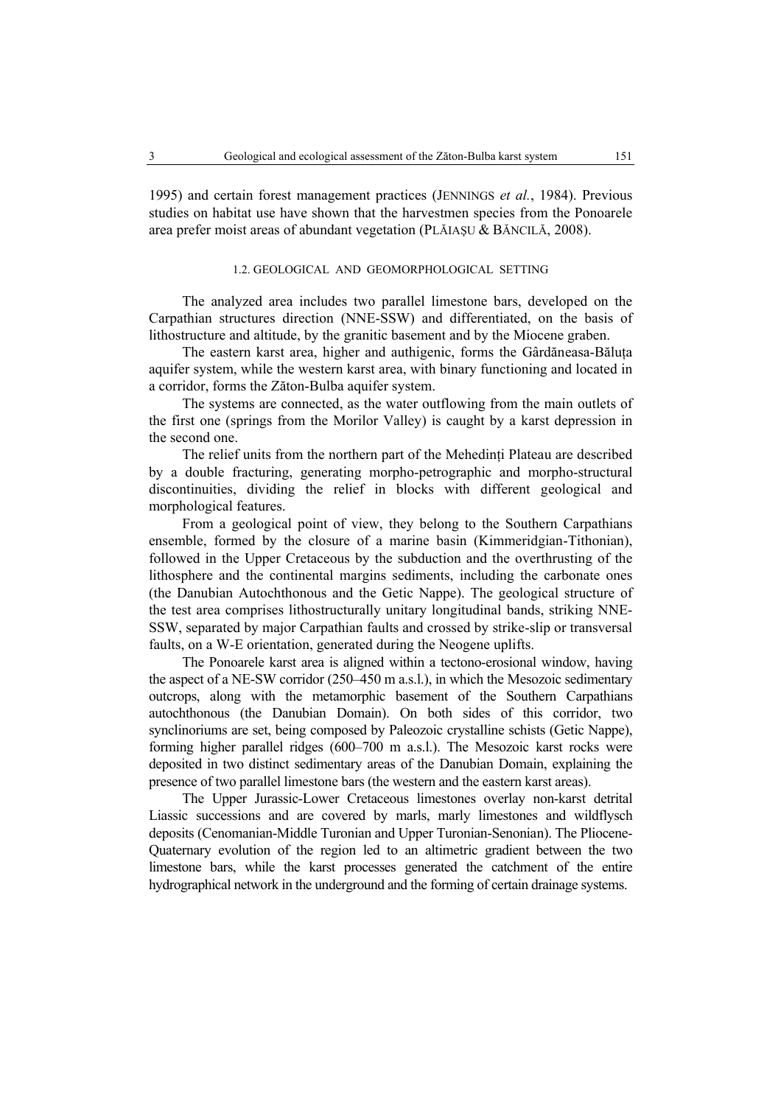1995) and certain forest management practices (JENNINGS *et al.*, 1984). Previous studies on habitat use have shown that the harvestmen species from the Ponoarele area prefer moist areas of abundant vegetation (PLĂIAŞU & BĂNCILĂ, 2008).

# 1.2. GEOLOGICAL AND GEOMORPHOLOGICAL SETTING

The analyzed area includes two parallel limestone bars, developed on the Carpathian structures direction (NNE-SSW) and differentiated, on the basis of lithostructure and altitude, by the granitic basement and by the Miocene graben.

The eastern karst area, higher and authigenic, forms the Gârdăneasa-Băluta aquifer system, while the western karst area, with binary functioning and located in a corridor, forms the Zăton-Bulba aquifer system.

The systems are connected, as the water outflowing from the main outlets of the first one (springs from the Morilor Valley) is caught by a karst depression in the second one.

The relief units from the northern part of the Mehedinti Plateau are described by a double fracturing, generating morpho-petrographic and morpho-structural discontinuities, dividing the relief in blocks with different geological and morphological features.

From a geological point of view, they belong to the Southern Carpathians ensemble, formed by the closure of a marine basin (Kimmeridgian-Tithonian), followed in the Upper Cretaceous by the subduction and the overthrusting of the lithosphere and the continental margins sediments, including the carbonate ones (the Danubian Autochthonous and the Getic Nappe). The geological structure of the test area comprises lithostructurally unitary longitudinal bands, striking NNE-SSW, separated by major Carpathian faults and crossed by strike-slip or transversal faults, on a W-E orientation, generated during the Neogene uplifts.

The Ponoarele karst area is aligned within a tectono-erosional window, having the aspect of a NE-SW corridor (250–450 m a.s.l.), in which the Mesozoic sedimentary outcrops, along with the metamorphic basement of the Southern Carpathians autochthonous (the Danubian Domain). On both sides of this corridor, two synclinoriums are set, being composed by Paleozoic crystalline schists (Getic Nappe), forming higher parallel ridges (600–700 m a.s.l.). The Mesozoic karst rocks were deposited in two distinct sedimentary areas of the Danubian Domain, explaining the presence of two parallel limestone bars (the western and the eastern karst areas).

The Upper Jurassic-Lower Cretaceous limestones overlay non-karst detrital Liassic successions and are covered by marls, marly limestones and wildflysch deposits (Cenomanian-Middle Turonian and Upper Turonian-Senonian). The Pliocene-Quaternary evolution of the region led to an altimetric gradient between the two limestone bars, while the karst processes generated the catchment of the entire hydrographical network in the underground and the forming of certain drainage systems.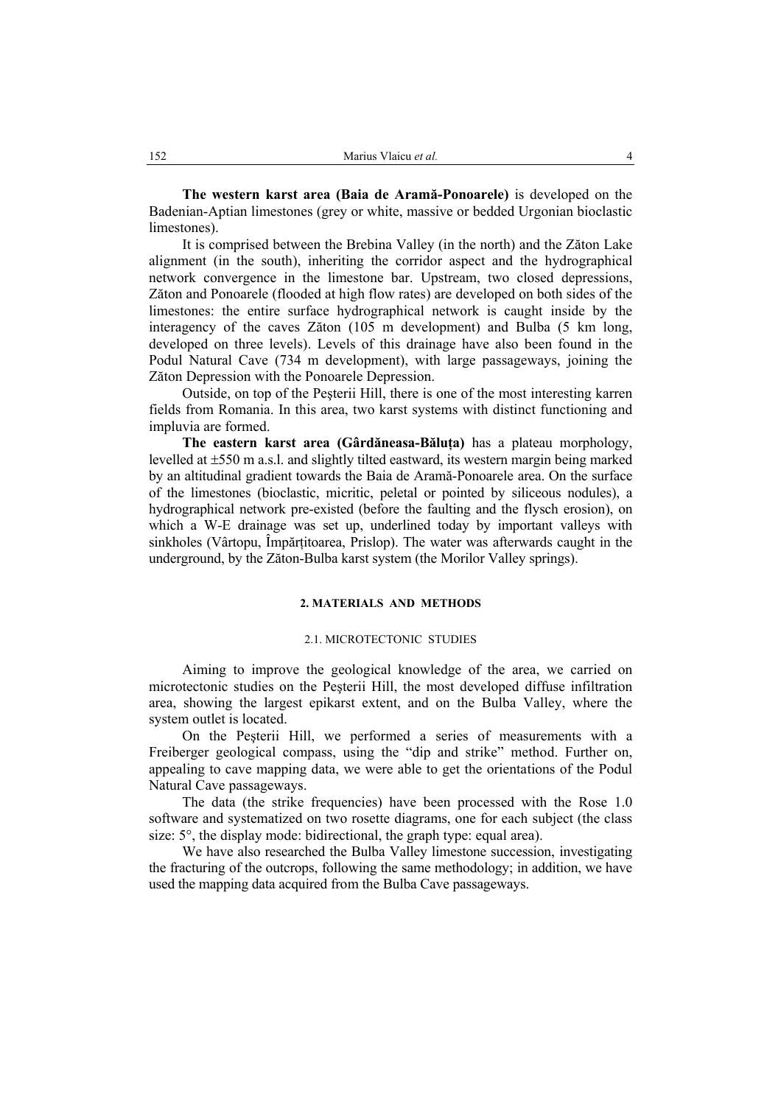**The western karst area (Baia de Aramă-Ponoarele)** is developed on the Badenian-Aptian limestones (grey or white, massive or bedded Urgonian bioclastic limestones).

It is comprised between the Brebina Valley (in the north) and the Zăton Lake alignment (in the south), inheriting the corridor aspect and the hydrographical network convergence in the limestone bar. Upstream, two closed depressions, Zăton and Ponoarele (flooded at high flow rates) are developed on both sides of the limestones: the entire surface hydrographical network is caught inside by the interagency of the caves Zăton (105 m development) and Bulba (5 km long, developed on three levels). Levels of this drainage have also been found in the Podul Natural Cave (734 m development), with large passageways, joining the Zăton Depression with the Ponoarele Depression.

Outside, on top of the Peşterii Hill, there is one of the most interesting karren fields from Romania. In this area, two karst systems with distinct functioning and impluvia are formed.

**The eastern karst area (Gârdăneasa-Băluţa)** has a plateau morphology, levelled at ±550 m a.s.l. and slightly tilted eastward, its western margin being marked by an altitudinal gradient towards the Baia de Aramă-Ponoarele area. On the surface of the limestones (bioclastic, micritic, peletal or pointed by siliceous nodules), a hydrographical network pre-existed (before the faulting and the flysch erosion), on which a W-E drainage was set up, underlined today by important valleys with sinkholes (Vârtopu, Împărțitoarea, Prislop). The water was afterwards caught in the underground, by the Zăton-Bulba karst system (the Morilor Valley springs).

## **2. MATERIALS AND METHODS**

#### 2.1. MICROTECTONIC STUDIES

Aiming to improve the geological knowledge of the area, we carried on microtectonic studies on the Peşterii Hill, the most developed diffuse infiltration area, showing the largest epikarst extent, and on the Bulba Valley, where the system outlet is located.

On the Peşterii Hill, we performed a series of measurements with a Freiberger geological compass, using the "dip and strike" method. Further on, appealing to cave mapping data, we were able to get the orientations of the Podul Natural Cave passageways.

The data (the strike frequencies) have been processed with the Rose 1.0 software and systematized on two rosette diagrams, one for each subject (the class size: 5°, the display mode: bidirectional, the graph type: equal area).

We have also researched the Bulba Valley limestone succession, investigating the fracturing of the outcrops, following the same methodology; in addition, we have used the mapping data acquired from the Bulba Cave passageways.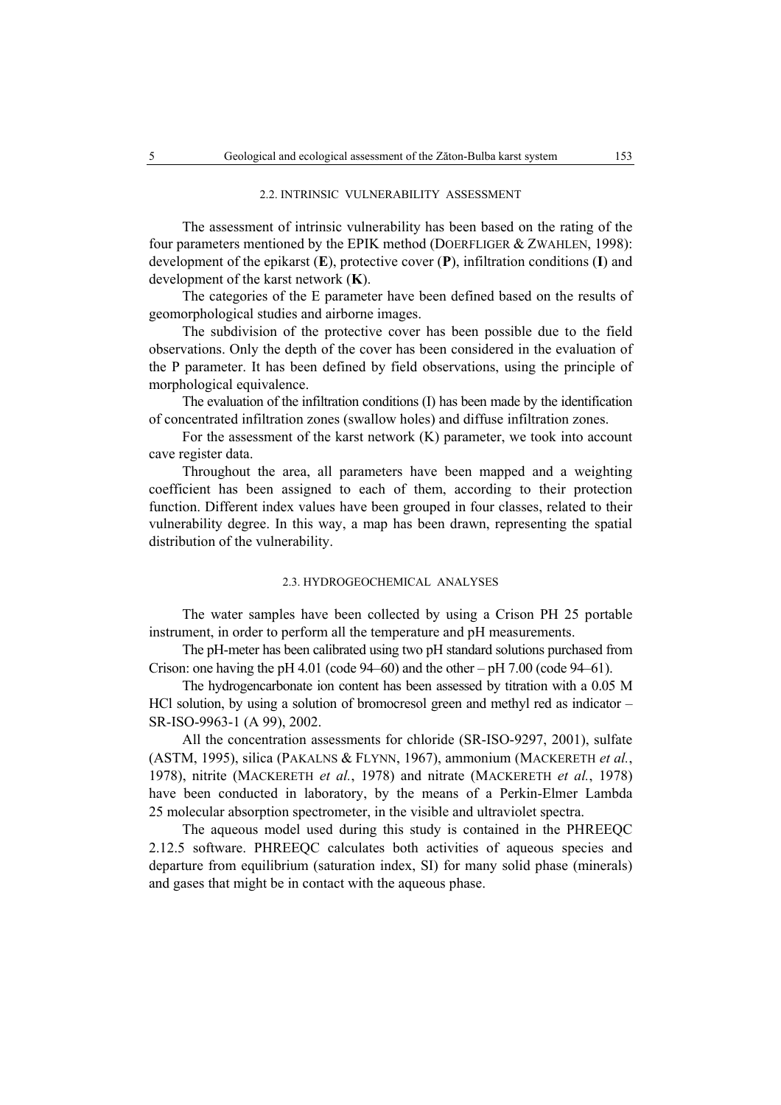#### 2.2. INTRINSIC VULNERABILITY ASSESSMENT

The assessment of intrinsic vulnerability has been based on the rating of the four parameters mentioned by the EPIK method (DOERFLIGER & ZWAHLEN, 1998): development of the epikarst (**E**), protective cover (**P**), infiltration conditions (**I**) and development of the karst network (**K**).

The categories of the E parameter have been defined based on the results of geomorphological studies and airborne images.

The subdivision of the protective cover has been possible due to the field observations. Only the depth of the cover has been considered in the evaluation of the P parameter. It has been defined by field observations, using the principle of morphological equivalence.

The evaluation of the infiltration conditions (I) has been made by the identification of concentrated infiltration zones (swallow holes) and diffuse infiltration zones.

For the assessment of the karst network (K) parameter, we took into account cave register data.

Throughout the area, all parameters have been mapped and a weighting coefficient has been assigned to each of them, according to their protection function. Different index values have been grouped in four classes, related to their vulnerability degree. In this way, a map has been drawn, representing the spatial distribution of the vulnerability.

## 2.3. HYDROGEOCHEMICAL ANALYSES

The water samples have been collected by using a Crison PH 25 portable instrument, in order to perform all the temperature and pH measurements.

The pH-meter has been calibrated using two pH standard solutions purchased from Crison: one having the pH 4.01 (code  $94-60$ ) and the other – pH 7.00 (code  $94-61$ ).

The hydrogencarbonate ion content has been assessed by titration with a 0.05 M HCl solution, by using a solution of bromocresol green and methyl red as indicator – SR-ISO-9963-1 (A 99), 2002.

All the concentration assessments for chloride (SR-ISO-9297, 2001), sulfate (ASTM, 1995), silica (PAKALNS & FLYNN, 1967), ammonium (MACKERETH *et al.*, 1978), nitrite (MACKERETH *et al.*, 1978) and nitrate (MACKERETH *et al.*, 1978) have been conducted in laboratory, by the means of a Perkin-Elmer Lambda 25 molecular absorption spectrometer, in the visible and ultraviolet spectra.

The aqueous model used during this study is contained in the PHREEQC 2.12.5 software. PHREEQC calculates both activities of aqueous species and departure from equilibrium (saturation index, SI) for many solid phase (minerals) and gases that might be in contact with the aqueous phase.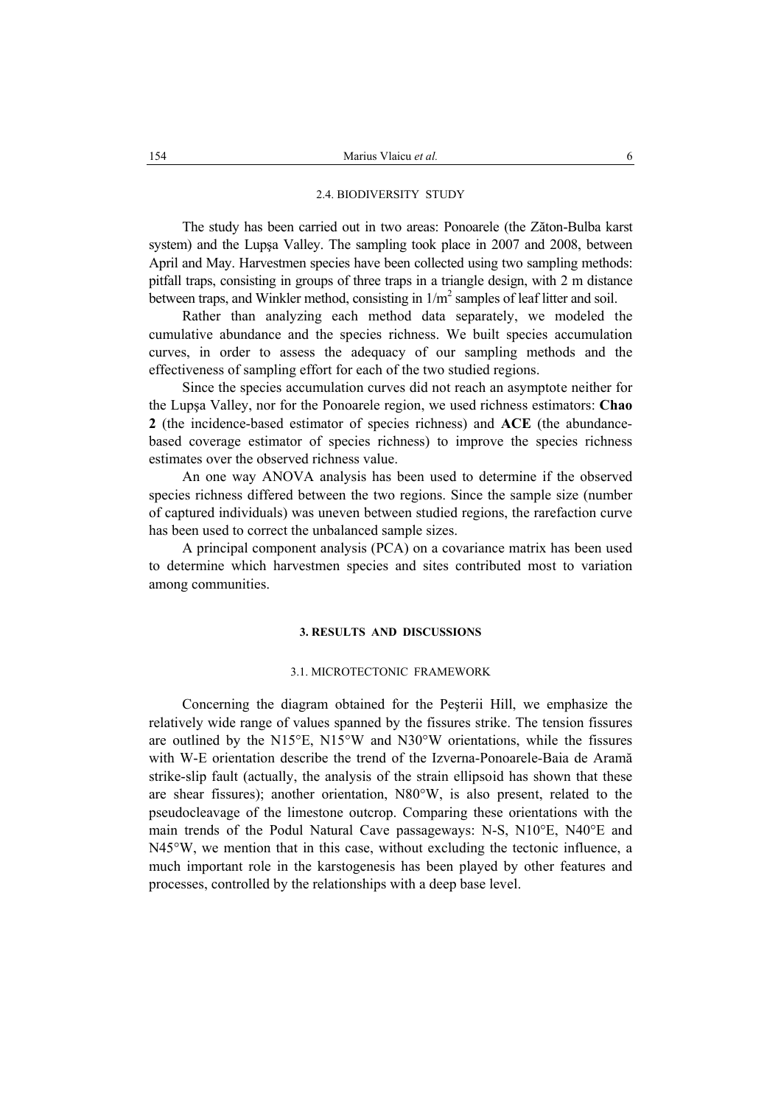#### 2.4. BIODIVERSITY STUDY

The study has been carried out in two areas: Ponoarele (the Zăton-Bulba karst system) and the Lupşa Valley. The sampling took place in 2007 and 2008, between April and May. Harvestmen species have been collected using two sampling methods: pitfall traps, consisting in groups of three traps in a triangle design, with 2 m distance between traps, and Winkler method, consisting in  $1/m^2$  samples of leaf litter and soil.

Rather than analyzing each method data separately, we modeled the cumulative abundance and the species richness. We built species accumulation curves, in order to assess the adequacy of our sampling methods and the effectiveness of sampling effort for each of the two studied regions.

Since the species accumulation curves did not reach an asymptote neither for the Lupşa Valley, nor for the Ponoarele region, we used richness estimators: **Chao 2** (the incidence-based estimator of species richness) and **ACE** (the abundancebased coverage estimator of species richness) to improve the species richness estimates over the observed richness value.

An one way ANOVA analysis has been used to determine if the observed species richness differed between the two regions. Since the sample size (number of captured individuals) was uneven between studied regions, the rarefaction curve has been used to correct the unbalanced sample sizes.

A principal component analysis (PCA) on a covariance matrix has been used to determine which harvestmen species and sites contributed most to variation among communities.

#### **3. RESULTS AND DISCUSSIONS**

## 3.1. MICROTECTONIC FRAMEWORK

Concerning the diagram obtained for the Peşterii Hill, we emphasize the relatively wide range of values spanned by the fissures strike. The tension fissures are outlined by the N15°E, N15°W and N30°W orientations, while the fissures with W-E orientation describe the trend of the Izverna-Ponoarele-Baia de Aramă strike-slip fault (actually, the analysis of the strain ellipsoid has shown that these are shear fissures); another orientation, N80°W, is also present, related to the pseudocleavage of the limestone outcrop. Comparing these orientations with the main trends of the Podul Natural Cave passageways: N-S, N10°E, N40°E and N45°W, we mention that in this case, without excluding the tectonic influence, a much important role in the karstogenesis has been played by other features and processes, controlled by the relationships with a deep base level.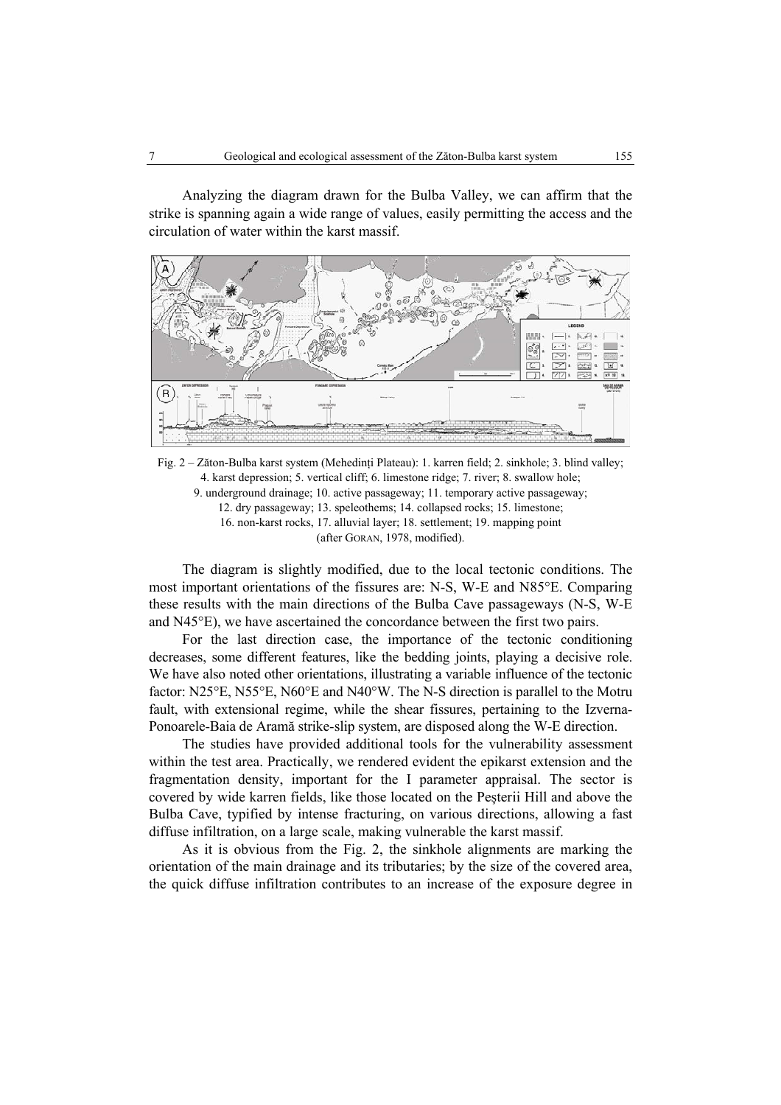Analyzing the diagram drawn for the Bulba Valley, we can affirm that the strike is spanning again a wide range of values, easily permitting the access and the circulation of water within the karst massif.



Fig. 2 – Zăton-Bulba karst system (Mehedinți Plateau): 1. karren field; 2. sinkhole; 3. blind valley; 4. karst depression; 5. vertical cliff; 6. limestone ridge; 7. river; 8. swallow hole; 9. underground drainage; 10. active passageway; 11. temporary active passageway; 12. dry passageway; 13. speleothems; 14. collapsed rocks; 15. limestone; 16. non-karst rocks, 17. alluvial layer; 18. settlement; 19. mapping point (after GORAN, 1978, modified).

The diagram is slightly modified, due to the local tectonic conditions. The most important orientations of the fissures are: N-S, W-E and N85°E. Comparing these results with the main directions of the Bulba Cave passageways (N-S, W-E and N45°E), we have ascertained the concordance between the first two pairs.

For the last direction case, the importance of the tectonic conditioning decreases, some different features, like the bedding joints, playing a decisive role. We have also noted other orientations, illustrating a variable influence of the tectonic factor: N25°E, N55°E, N60°E and N40°W. The N-S direction is parallel to the Motru fault, with extensional regime, while the shear fissures, pertaining to the Izverna-Ponoarele-Baia de Aramă strike-slip system, are disposed along the W-E direction.

The studies have provided additional tools for the vulnerability assessment within the test area. Practically, we rendered evident the epikarst extension and the fragmentation density, important for the I parameter appraisal. The sector is covered by wide karren fields, like those located on the Peşterii Hill and above the Bulba Cave, typified by intense fracturing, on various directions, allowing a fast diffuse infiltration, on a large scale, making vulnerable the karst massif.

As it is obvious from the Fig. 2, the sinkhole alignments are marking the orientation of the main drainage and its tributaries; by the size of the covered area, the quick diffuse infiltration contributes to an increase of the exposure degree in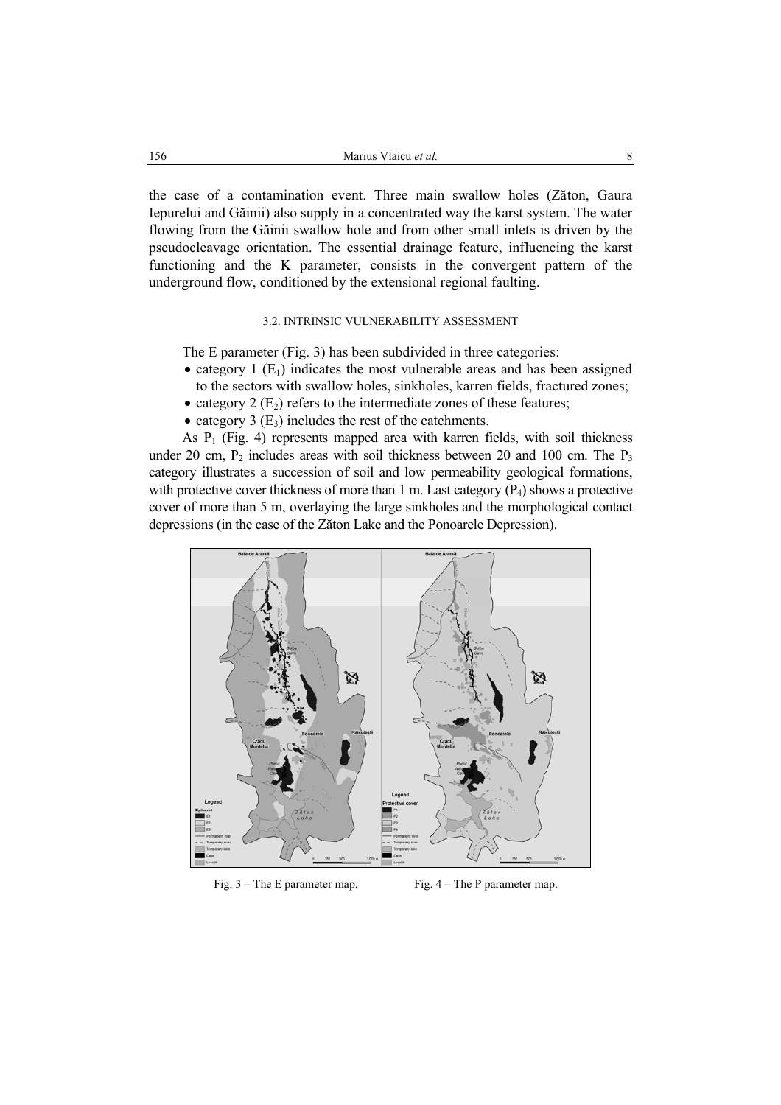the case of a contamination event. Three main swallow holes (Zăton, Gaura Iepurelui and Găinii) also supply in a concentrated way the karst system. The water flowing from the Găinii swallow hole and from other small inlets is driven by the pseudocleavage orientation. The essential drainage feature, influencing the karst functioning and the K parameter, consists in the convergent pattern of the underground flow, conditioned by the extensional regional faulting.

# 3.2. INTRINSIC VULNERABILITY ASSESSMENT

The E parameter (Fig. 3) has been subdivided in three categories:

- category 1  $(E_1)$  indicates the most vulnerable areas and has been assigned to the sectors with swallow holes, sinkholes, karren fields, fractured zones;
- category 2  $(E_2)$  refers to the intermediate zones of these features;
- category 3  $(E_3)$  includes the rest of the catchments.

As  $P_1$  (Fig. 4) represents mapped area with karren fields, with soil thickness under 20 cm,  $P_2$  includes areas with soil thickness between 20 and 100 cm. The  $P_3$ category illustrates a succession of soil and low permeability geological formations, with protective cover thickness of more than 1 m. Last category  $(P_4)$  shows a protective cover of more than 5 m, overlaying the large sinkholes and the morphological contact depressions (in the case of the Zăton Lake and the Ponoarele Depression).



Fig. 3 – The E parameter map. Fig. 4 – The P parameter map.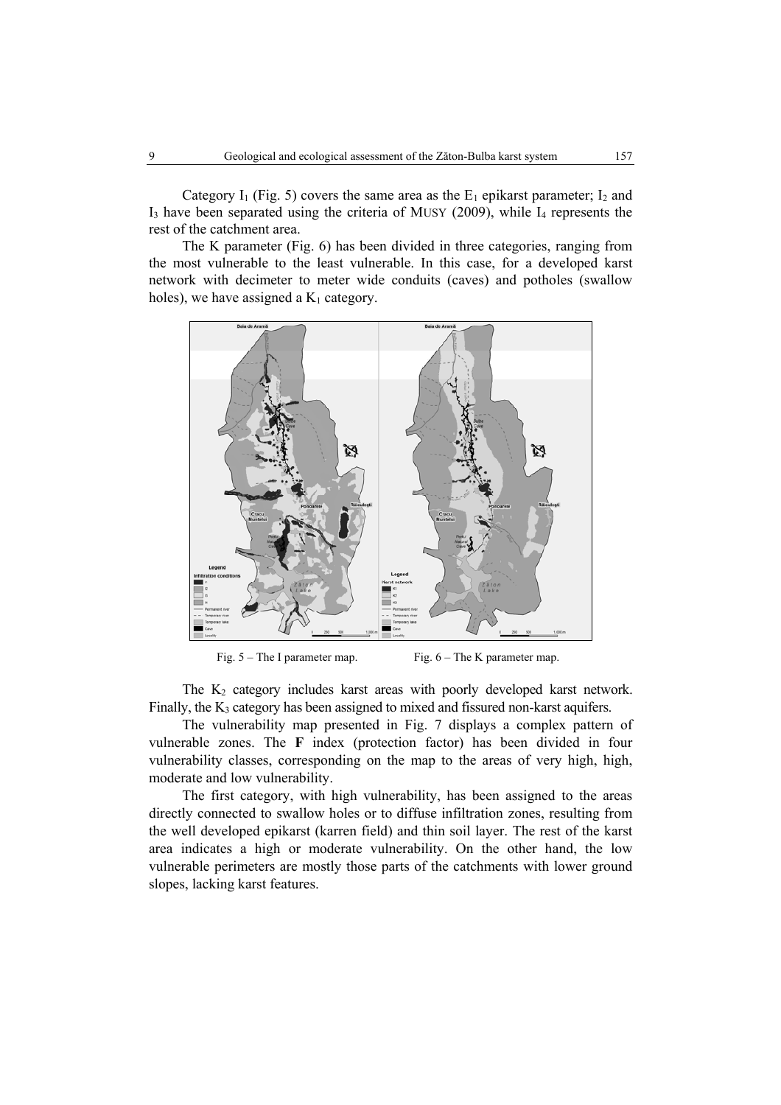Category I<sub>1</sub> (Fig. 5) covers the same area as the  $E_1$  epikarst parameter; I<sub>2</sub> and  $I_3$  have been separated using the criteria of MUSY (2009), while  $I_4$  represents the rest of the catchment area.

The K parameter (Fig. 6) has been divided in three categories, ranging from the most vulnerable to the least vulnerable. In this case, for a developed karst network with decimeter to meter wide conduits (caves) and potholes (swallow holes), we have assigned a  $K_1$  category.



Fig. 5 – The I parameter map. Fig. 6 – The K parameter map.

The  $K_2$  category includes karst areas with poorly developed karst network. Finally, the  $K_3$  category has been assigned to mixed and fissured non-karst aquifers.

The vulnerability map presented in Fig. 7 displays a complex pattern of vulnerable zones. The **F** index (protection factor) has been divided in four vulnerability classes, corresponding on the map to the areas of very high, high, moderate and low vulnerability.

The first category, with high vulnerability, has been assigned to the areas directly connected to swallow holes or to diffuse infiltration zones, resulting from the well developed epikarst (karren field) and thin soil layer. The rest of the karst area indicates a high or moderate vulnerability. On the other hand, the low vulnerable perimeters are mostly those parts of the catchments with lower ground slopes, lacking karst features.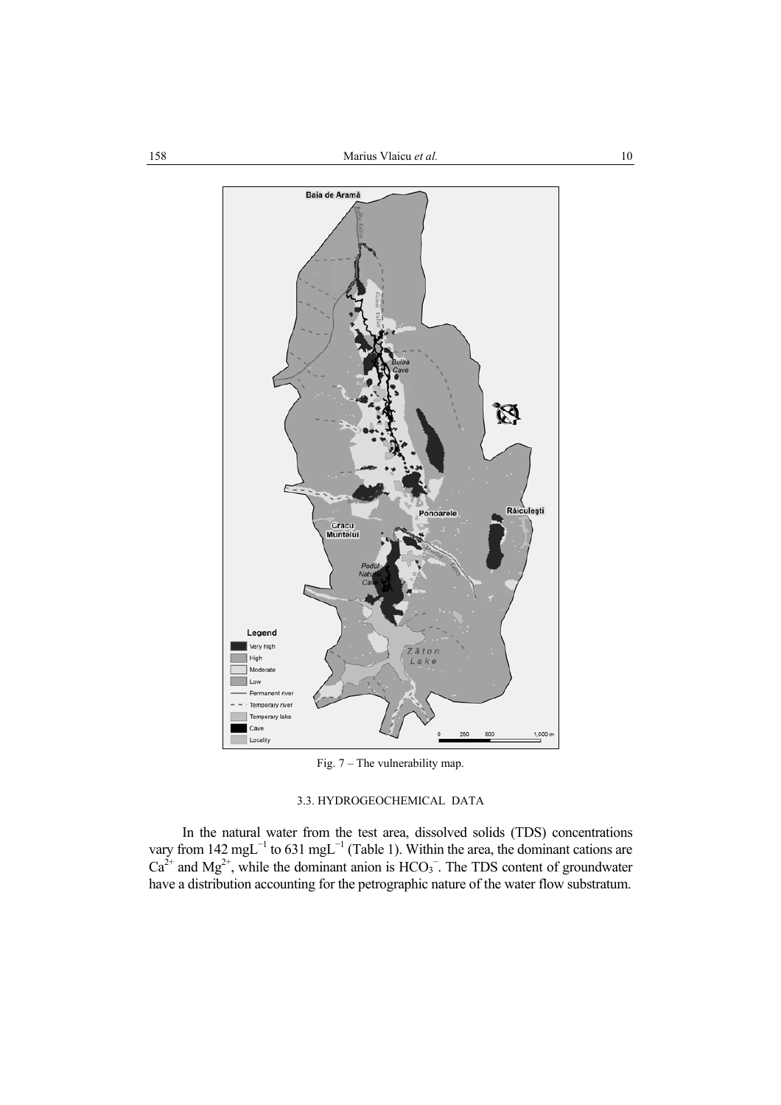

Fig. 7 – The vulnerability map.

# 3.3. HYDROGEOCHEMICAL DATA

In the natural water from the test area, dissolved solids (TDS) concentrations vary from 142 mgL<sup>-1</sup> to 631 mgL<sup>-1</sup> (Table 1). Within the area, the dominant cations are  $Ca^{2+}$  and Mg<sup>2+</sup>, while the dominant anion is HCO<sub>3</sub><sup>-</sup>. The TDS content of groundwater have a distribution accounting for the petrographic nature of the water flow substratum.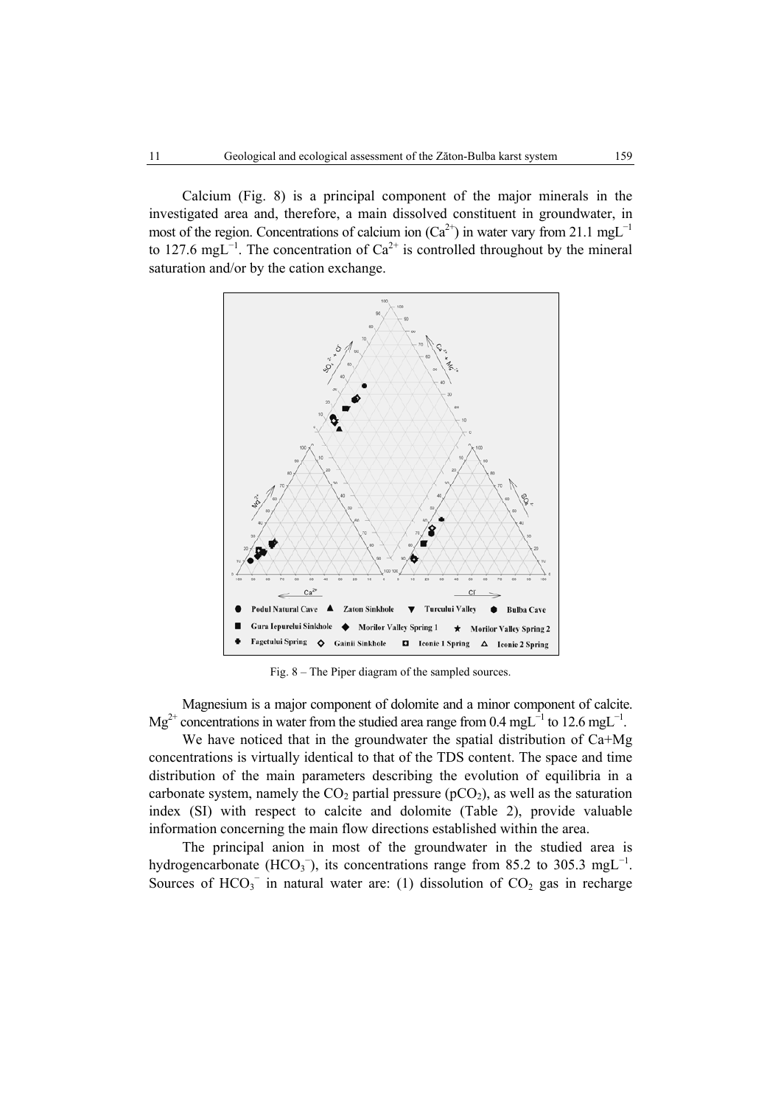Calcium (Fig. 8) is a principal component of the major minerals in the investigated area and, therefore, a main dissolved constituent in groundwater, in most of the region. Concentrations of calcium ion ( $Ca^{2+}$ ) in water vary from 21.1 mgL<sup>-1</sup> to 127.6 mgL<sup>-1</sup>. The concentration of  $Ca^{2+}$  is controlled throughout by the mineral saturation and/or by the cation exchange.



Fig. 8 – The Piper diagram of the sampled sources.

Magnesium is a major component of dolomite and a minor component of calcite. Mg<sup>2+</sup> concentrations in water from the studied area range from 0.4 mgL<sup>-1</sup> to 12.6 mgL<sup>-1</sup>.

We have noticed that in the groundwater the spatial distribution of Ca+Mg concentrations is virtually identical to that of the TDS content. The space and time distribution of the main parameters describing the evolution of equilibria in a carbonate system, namely the  $CO<sub>2</sub>$  partial pressure (pCO<sub>2</sub>), as well as the saturation index (SI) with respect to calcite and dolomite (Table 2), provide valuable information concerning the main flow directions established within the area.

The principal anion in most of the groundwater in the studied area is hydrogencarbonate (HCO<sub>3</sub><sup>-</sup>), its concentrations range from 85.2 to 305.3 mgL<sup>-1</sup>. Sources of  $HCO<sub>3</sub><sup>-</sup>$  in natural water are: (1) dissolution of  $CO<sub>2</sub>$  gas in recharge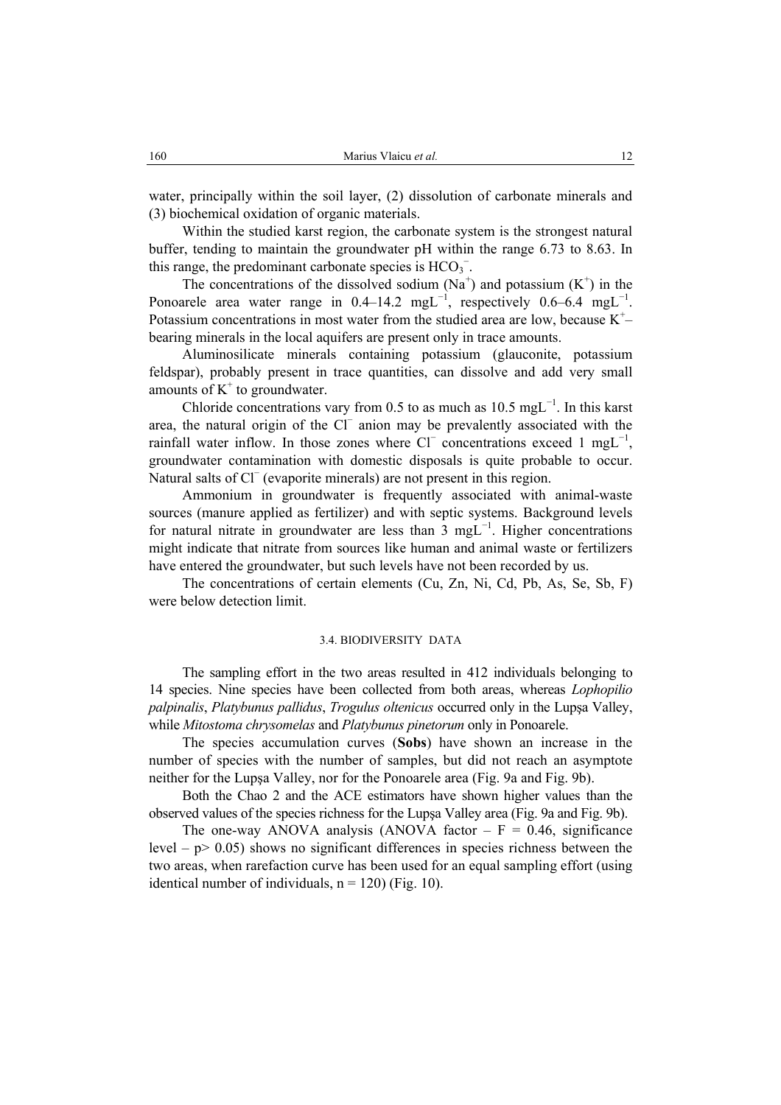water, principally within the soil layer, (2) dissolution of carbonate minerals and (3) biochemical oxidation of organic materials.

Within the studied karst region, the carbonate system is the strongest natural buffer, tending to maintain the groundwater pH within the range 6.73 to 8.63. In this range, the predominant carbonate species is  $HCO_3^-$ .

The concentrations of the dissolved sodium  $(Na^+)$  and potassium  $(K^+)$  in the Ponoarele area water range in 0.4–14.2 mgL<sup>-1</sup>, respectively 0.6–6.4 mgL<sup>-1</sup>. Potassium concentrations in most water from the studied area are low, because  $K^+$ bearing minerals in the local aquifers are present only in trace amounts.

Aluminosilicate minerals containing potassium (glauconite, potassium feldspar), probably present in trace quantities, can dissolve and add very small amounts of  $K^+$  to groundwater.

Chloride concentrations vary from 0.5 to as much as  $10.5 \text{ mgL}^{-1}$ . In this karst area, the natural origin of the Cl⊤ anion may be prevalently associated with the rainfall water inflow. In those zones where  $Cl^-$  concentrations exceed 1 mgL<sup>-1</sup>, groundwater contamination with domestic disposals is quite probable to occur. Natural salts of Cl (evaporite minerals) are not present in this region.

Ammonium in groundwater is frequently associated with animal-waste sources (manure applied as fertilizer) and with septic systems. Background levels for natural nitrate in groundwater are less than 3 mgL<sup>-1</sup>. Higher concentrations might indicate that nitrate from sources like human and animal waste or fertilizers have entered the groundwater, but such levels have not been recorded by us.

The concentrations of certain elements (Cu, Zn, Ni, Cd, Pb, As, Se, Sb, F) were below detection limit.

#### 3.4. BIODIVERSITY DATA

The sampling effort in the two areas resulted in 412 individuals belonging to 14 species. Nine species have been collected from both areas, whereas *Lophopilio palpinalis*, *Platybunus pallidus*, *Trogulus oltenicus* occurred only in the Lupşa Valley, while *Mitostoma chrysomelas* and *Platybunus pinetorum* only in Ponoarele.

The species accumulation curves (**Sobs**) have shown an increase in the number of species with the number of samples, but did not reach an asymptote neither for the Lupşa Valley, nor for the Ponoarele area (Fig. 9a and Fig. 9b).

Both the Chao 2 and the ACE estimators have shown higher values than the observed values of the species richness for the Lupşa Valley area (Fig. 9a and Fig. 9b).

The one-way ANOVA analysis (ANOVA factor  $-F = 0.46$ , significance level  $-p$  0.05) shows no significant differences in species richness between the two areas, when rarefaction curve has been used for an equal sampling effort (using identical number of individuals,  $n = 120$ ) (Fig. 10).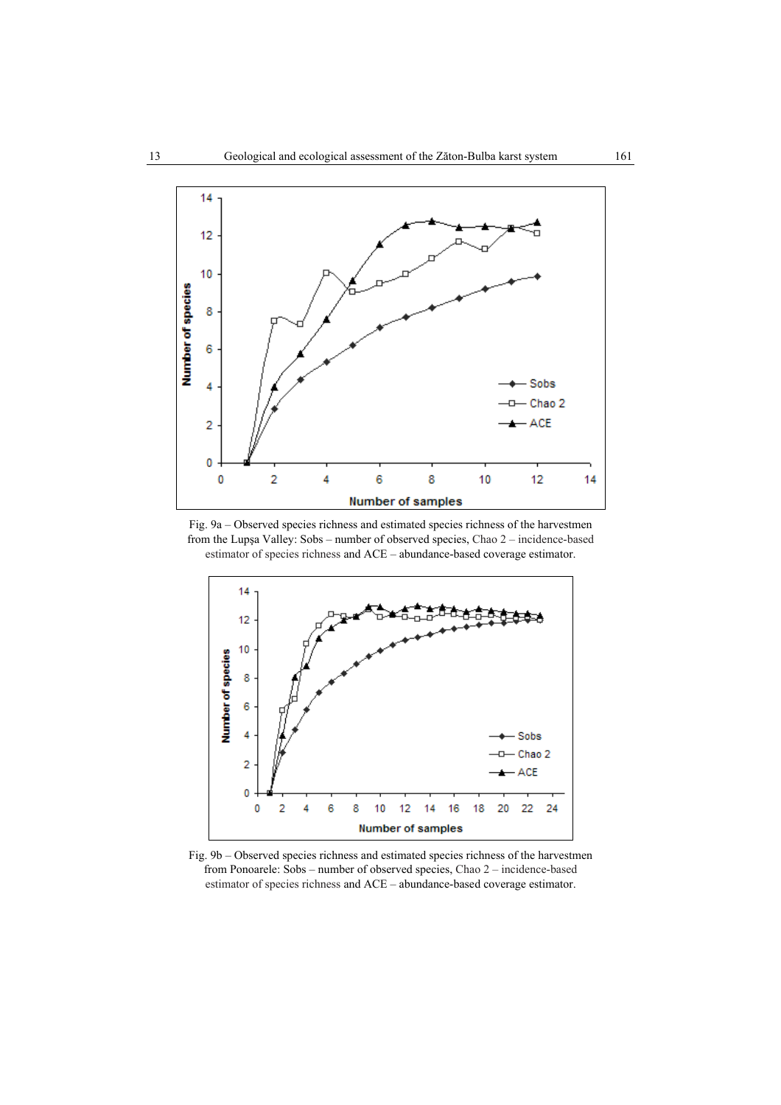

Fig. 9a – Observed species richness and estimated species richness of the harvestmen from the Lupşa Valley: Sobs – number of observed species, Chao 2 – incidence-based estimator of species richness and ACE – abundance-based coverage estimator.



Fig. 9b – Observed species richness and estimated species richness of the harvestmen from Ponoarele: Sobs – number of observed species, Chao 2 – incidence-based estimator of species richness and ACE – abundance-based coverage estimator.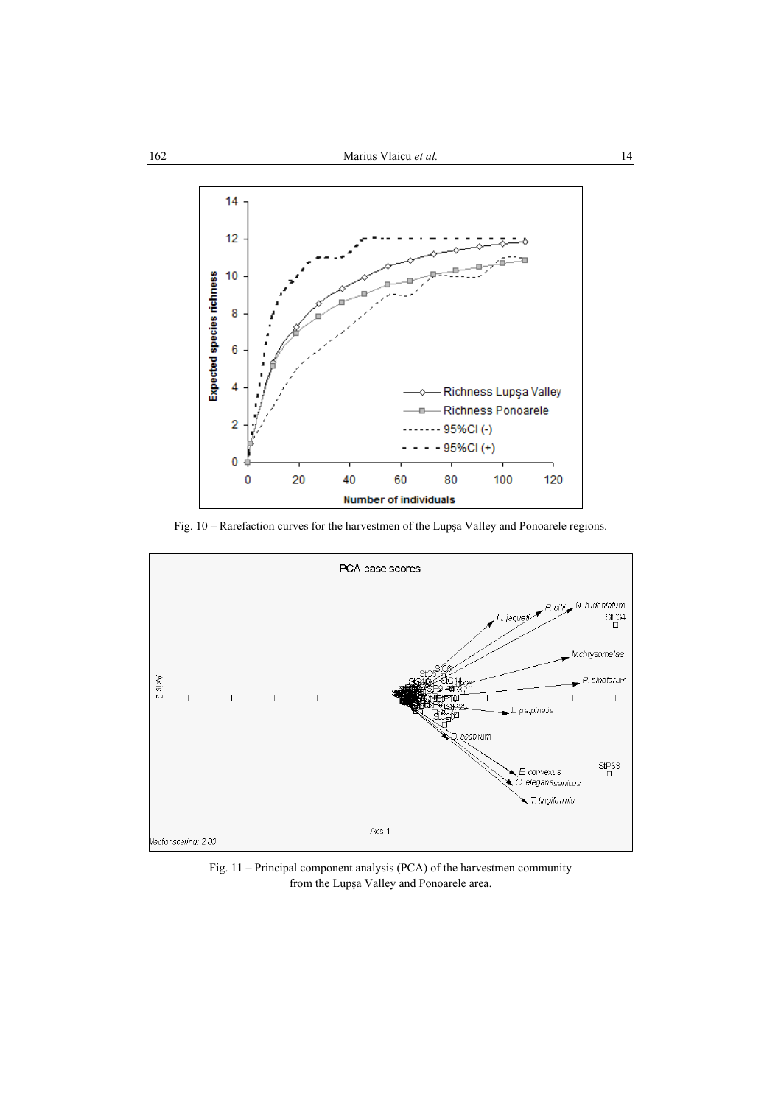

Fig. 10 – Rarefaction curves for the harvestmen of the Lupşa Valley and Ponoarele regions.



Fig. 11 – Principal component analysis (PCA) of the harvestmen community from the Lupşa Valley and Ponoarele area.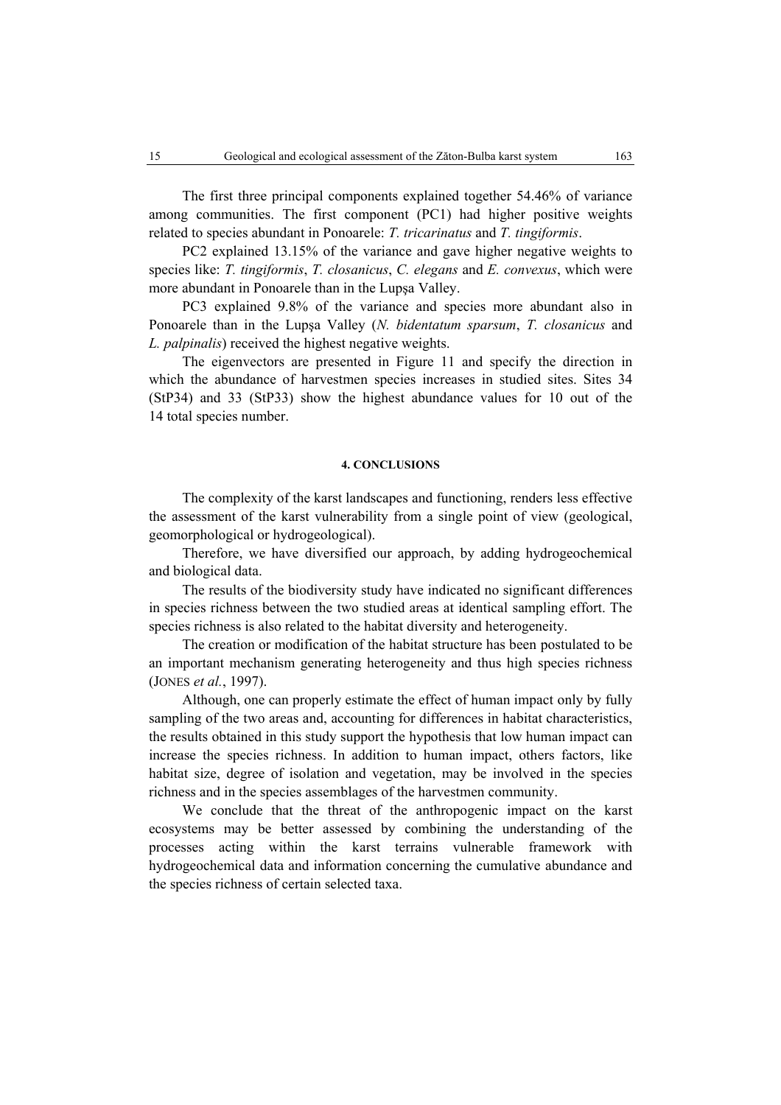The first three principal components explained together 54.46% of variance among communities. The first component (PC1) had higher positive weights related to species abundant in Ponoarele: *T. tricarinatus* and *T. tingiformis*.

PC2 explained 13.15% of the variance and gave higher negative weights to species like: *T. tingiformis*, *T. closanicus*, *C. elegans* and *E. convexus*, which were more abundant in Ponoarele than in the Lupşa Valley.

PC3 explained 9.8% of the variance and species more abundant also in Ponoarele than in the Lupşa Valley (*N. bidentatum sparsum*, *T. closanicus* and *L. palpinalis*) received the highest negative weights.

The eigenvectors are presented in Figure 11 and specify the direction in which the abundance of harvestmen species increases in studied sites. Sites 34 (StP34) and 33 (StP33) show the highest abundance values for 10 out of the 14 total species number.

## **4. CONCLUSIONS**

The complexity of the karst landscapes and functioning, renders less effective the assessment of the karst vulnerability from a single point of view (geological, geomorphological or hydrogeological).

Therefore, we have diversified our approach, by adding hydrogeochemical and biological data.

The results of the biodiversity study have indicated no significant differences in species richness between the two studied areas at identical sampling effort. The species richness is also related to the habitat diversity and heterogeneity.

The creation or modification of the habitat structure has been postulated to be an important mechanism generating heterogeneity and thus high species richness (JONES *et al.*, 1997).

Although, one can properly estimate the effect of human impact only by fully sampling of the two areas and, accounting for differences in habitat characteristics, the results obtained in this study support the hypothesis that low human impact can increase the species richness. In addition to human impact, others factors, like habitat size, degree of isolation and vegetation, may be involved in the species richness and in the species assemblages of the harvestmen community.

We conclude that the threat of the anthropogenic impact on the karst ecosystems may be better assessed by combining the understanding of the processes acting within the karst terrains vulnerable framework with hydrogeochemical data and information concerning the cumulative abundance and the species richness of certain selected taxa.